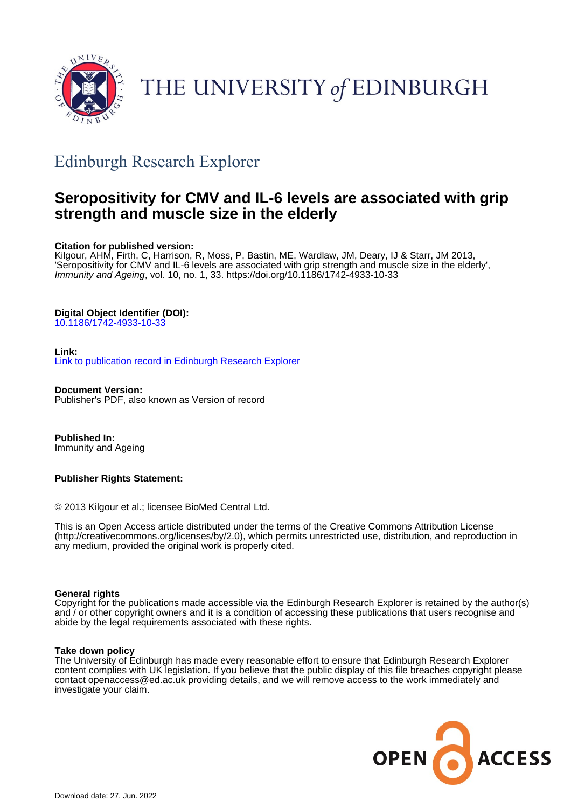

# THE UNIVERSITY of EDINBURGH

# Edinburgh Research Explorer

# **Seropositivity for CMV and IL-6 levels are associated with grip strength and muscle size in the elderly**

# **Citation for published version:**

Kilgour, AHM, Firth, C, Harrison, R, Moss, P, Bastin, ME, Wardlaw, JM, Deary, IJ & Starr, JM 2013, 'Seropositivity for CMV and IL-6 levels are associated with grip strength and muscle size in the elderly', Immunity and Ageing, vol. 10, no. 1, 33. <https://doi.org/10.1186/1742-4933-10-33>

# **Digital Object Identifier (DOI):**

[10.1186/1742-4933-10-33](https://doi.org/10.1186/1742-4933-10-33)

# **Link:**

[Link to publication record in Edinburgh Research Explorer](https://www.research.ed.ac.uk/en/publications/edb7eb44-1f62-4970-8bca-71fe2402a877)

**Document Version:** Publisher's PDF, also known as Version of record

**Published In:** Immunity and Ageing

# **Publisher Rights Statement:**

© 2013 Kilgour et al.; licensee BioMed Central Ltd.

This is an Open Access article distributed under the terms of the Creative Commons Attribution License (http://creativecommons.org/licenses/by/2.0), which permits unrestricted use, distribution, and reproduction in any medium, provided the original work is properly cited.

# **General rights**

Copyright for the publications made accessible via the Edinburgh Research Explorer is retained by the author(s) and / or other copyright owners and it is a condition of accessing these publications that users recognise and abide by the legal requirements associated with these rights.

# **Take down policy**

The University of Edinburgh has made every reasonable effort to ensure that Edinburgh Research Explorer content complies with UK legislation. If you believe that the public display of this file breaches copyright please contact openaccess@ed.ac.uk providing details, and we will remove access to the work immediately and investigate your claim.

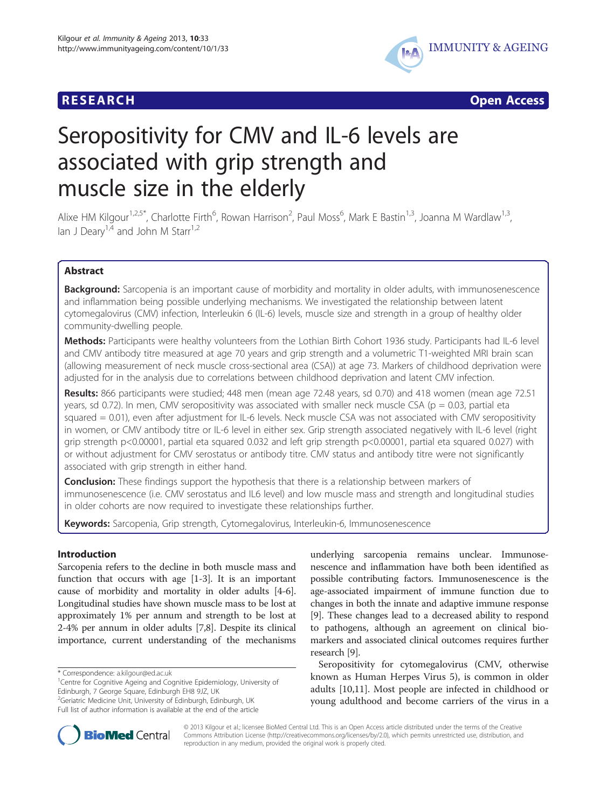# **RESEARCH CHEAR CHEAR CHEAR CHEAR CHEAR CHEAR CHEAR CHEAR CHEAR CHEAR CHEAR CHEAR CHEAR CHEAR CHEAR CHEAR CHEAR**



# Seropositivity for CMV and IL-6 levels are associated with grip strength and muscle size in the elderly

Alixe HM Kilgour<sup>1,2,5\*</sup>, Charlotte Firth<sup>6</sup>, Rowan Harrison<sup>2</sup>, Paul Moss<sup>6</sup>, Mark E Bastin<sup>1,3</sup>, Joanna M Wardlaw<sup>1,3</sup>, Ian J Deary<sup>1,4</sup> and John M Starr<sup>1,2</sup>

# Abstract

**Background:** Sarcopenia is an important cause of morbidity and mortality in older adults, with immunosenescence and inflammation being possible underlying mechanisms. We investigated the relationship between latent cytomegalovirus (CMV) infection, Interleukin 6 (IL-6) levels, muscle size and strength in a group of healthy older community-dwelling people.

Methods: Participants were healthy volunteers from the Lothian Birth Cohort 1936 study. Participants had IL-6 level and CMV antibody titre measured at age 70 years and grip strength and a volumetric T1-weighted MRI brain scan (allowing measurement of neck muscle cross-sectional area (CSA)) at age 73. Markers of childhood deprivation were adjusted for in the analysis due to correlations between childhood deprivation and latent CMV infection.

Results: 866 participants were studied; 448 men (mean age 72.48 years, sd 0.70) and 418 women (mean age 72.51 years, sd 0.72). In men, CMV seropositivity was associated with smaller neck muscle CSA ( $p = 0.03$ , partial eta squared = 0.01), even after adjustment for IL-6 levels. Neck muscle CSA was not associated with CMV seropositivity in women, or CMV antibody titre or IL-6 level in either sex. Grip strength associated negatively with IL-6 level (right grip strength p<0.00001, partial eta squared 0.032 and left grip strength p<0.00001, partial eta squared 0.027) with or without adjustment for CMV serostatus or antibody titre. CMV status and antibody titre were not significantly associated with grip strength in either hand.

**Conclusion:** These findings support the hypothesis that there is a relationship between markers of immunosenescence (i.e. CMV serostatus and IL6 level) and low muscle mass and strength and longitudinal studies in older cohorts are now required to investigate these relationships further.

Keywords: Sarcopenia, Grip strength, Cytomegalovirus, Interleukin-6, Immunosenescence

# Introduction

Sarcopenia refers to the decline in both muscle mass and function that occurs with age [\[1](#page-7-0)-[3\]](#page-7-0). It is an important cause of morbidity and mortality in older adults [\[4](#page-7-0)-[6](#page-7-0)]. Longitudinal studies have shown muscle mass to be lost at approximately 1% per annum and strength to be lost at 2-4% per annum in older adults [\[7,8\]](#page-7-0). Despite its clinical importance, current understanding of the mechanisms

\* Correspondence: [a.kilgour@ed.ac.uk](mailto:a.kilgour@ed.ac.uk) <sup>1</sup>

underlying sarcopenia remains unclear. Immunosenescence and inflammation have both been identified as possible contributing factors. Immunosenescence is the age-associated impairment of immune function due to changes in both the innate and adaptive immune response [[9\]](#page-7-0). These changes lead to a decreased ability to respond to pathogens, although an agreement on clinical biomarkers and associated clinical outcomes requires further research [[9](#page-7-0)].

Seropositivity for cytomegalovirus (CMV, otherwise known as Human Herpes Virus 5), is common in older adults [[10,11\]](#page-7-0). Most people are infected in childhood or young adulthood and become carriers of the virus in a



© 2013 Kilgour et al.; licensee BioMed Central Ltd. This is an Open Access article distributed under the terms of the Creative Commons Attribution License [\(http://creativecommons.org/licenses/by/2.0\)](http://creativecommons.org/licenses/by/2.0), which permits unrestricted use, distribution, and reproduction in any medium, provided the original work is properly cited.

<sup>&</sup>lt;sup>1</sup> Centre for Cognitive Ageing and Cognitive Epidemiology, University of Edinburgh, 7 George Square, Edinburgh EH8 9JZ, UK

<sup>&</sup>lt;sup>2</sup>Geriatric Medicine Unit, University of Edinburgh, Edinburgh, UK Full list of author information is available at the end of the article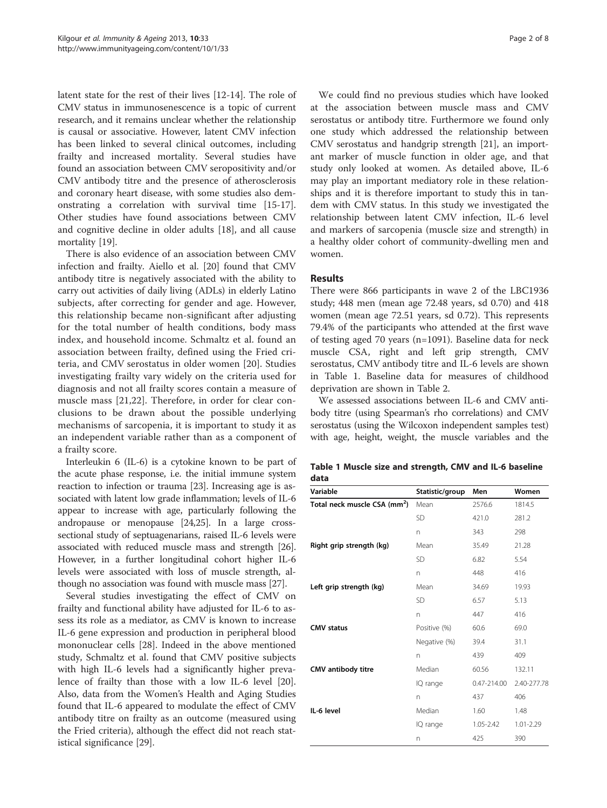latent state for the rest of their lives [\[12](#page-7-0)-[14\]](#page-7-0). The role of CMV status in immunosenescence is a topic of current research, and it remains unclear whether the relationship is causal or associative. However, latent CMV infection has been linked to several clinical outcomes, including frailty and increased mortality. Several studies have found an association between CMV seropositivity and/or CMV antibody titre and the presence of atherosclerosis and coronary heart disease, with some studies also demonstrating a correlation with survival time [\[15-17](#page-7-0)]. Other studies have found associations between CMV and cognitive decline in older adults [\[18\]](#page-7-0), and all cause mortality [[19\]](#page-7-0).

There is also evidence of an association between CMV infection and frailty. Aiello et al. [[20](#page-7-0)] found that CMV antibody titre is negatively associated with the ability to carry out activities of daily living (ADLs) in elderly Latino subjects, after correcting for gender and age. However, this relationship became non-significant after adjusting for the total number of health conditions, body mass index, and household income. Schmaltz et al. found an association between frailty, defined using the Fried criteria, and CMV serostatus in older women [[20\]](#page-7-0). Studies investigating frailty vary widely on the criteria used for diagnosis and not all frailty scores contain a measure of muscle mass [[21,22](#page-7-0)]. Therefore, in order for clear conclusions to be drawn about the possible underlying mechanisms of sarcopenia, it is important to study it as an independent variable rather than as a component of a frailty score.

Interleukin 6 (IL-6) is a cytokine known to be part of the acute phase response, i.e. the initial immune system reaction to infection or trauma [[23](#page-7-0)]. Increasing age is associated with latent low grade inflammation; levels of IL-6 appear to increase with age, particularly following the andropause or menopause [\[24,25\]](#page-7-0). In a large crosssectional study of septuagenarians, raised IL-6 levels were associated with reduced muscle mass and strength [[26](#page-7-0)]. However, in a further longitudinal cohort higher IL-6 levels were associated with loss of muscle strength, although no association was found with muscle mass [\[27\]](#page-8-0).

Several studies investigating the effect of CMV on frailty and functional ability have adjusted for IL-6 to assess its role as a mediator, as CMV is known to increase IL-6 gene expression and production in peripheral blood mononuclear cells [\[28](#page-8-0)]. Indeed in the above mentioned study, Schmaltz et al. found that CMV positive subjects with high IL-6 levels had a significantly higher prevalence of frailty than those with a low IL-6 level [\[20](#page-7-0)]. Also, data from the Women's Health and Aging Studies found that IL-6 appeared to modulate the effect of CMV antibody titre on frailty as an outcome (measured using the Fried criteria), although the effect did not reach statistical significance [[29](#page-8-0)].

We could find no previous studies which have looked at the association between muscle mass and CMV serostatus or antibody titre. Furthermore we found only one study which addressed the relationship between CMV serostatus and handgrip strength [[21](#page-7-0)], an important marker of muscle function in older age, and that study only looked at women. As detailed above, IL-6 may play an important mediatory role in these relationships and it is therefore important to study this in tandem with CMV status. In this study we investigated the relationship between latent CMV infection, IL-6 level and markers of sarcopenia (muscle size and strength) in a healthy older cohort of community-dwelling men and women.

## Results

There were 866 participants in wave 2 of the LBC1936 study; 448 men (mean age 72.48 years, sd 0.70) and 418 women (mean age 72.51 years, sd 0.72). This represents 79.4% of the participants who attended at the first wave of testing aged 70 years (n=1091). Baseline data for neck muscle CSA, right and left grip strength, CMV serostatus, CMV antibody titre and IL-6 levels are shown in Table 1. Baseline data for measures of childhood deprivation are shown in Table [2.](#page-3-0)

We assessed associations between IL-6 and CMV antibody titre (using Spearman's rho correlations) and CMV serostatus (using the Wilcoxon independent samples test) with age, height, weight, the muscle variables and the

|      |  | Table 1 Muscle size and strength, CMV and IL-6 baseline |  |  |
|------|--|---------------------------------------------------------|--|--|
| data |  |                                                         |  |  |

| Variable                                 | Statistic/group | Men         | Women       |
|------------------------------------------|-----------------|-------------|-------------|
| Total neck muscle CSA (mm <sup>2</sup> ) | Mean            | 2576.6      | 1814.5      |
|                                          | <b>SD</b>       | 421.0       | 281.2       |
|                                          | n               | 343         | 298         |
| Right grip strength (kg)                 | Mean            | 35.49       | 21.28       |
|                                          | SD              | 6.82        | 5.54        |
|                                          | n               | 448         | 416         |
| Left grip strength (kg)                  | Mean            | 34.69       | 19.93       |
|                                          | SD              | 6.57        | 5.13        |
|                                          | n               | 447         | 416         |
| <b>CMV status</b>                        | Positive (%)    | 60.6        | 69.0        |
|                                          | Negative (%)    | 39.4        | 31.1        |
|                                          | n               | 439         | 409         |
| CMV antibody titre                       | Median          | 60.56       | 132.11      |
|                                          | IQ range        | 0.47-214.00 | 2.40-277.78 |
|                                          | n               | 437         | 406         |
| IL-6 level                               | Median          | 1.60        | 1.48        |
|                                          | IQ range        | 1.05-2.42   | 1.01-2.29   |
|                                          | n               | 425         | 390         |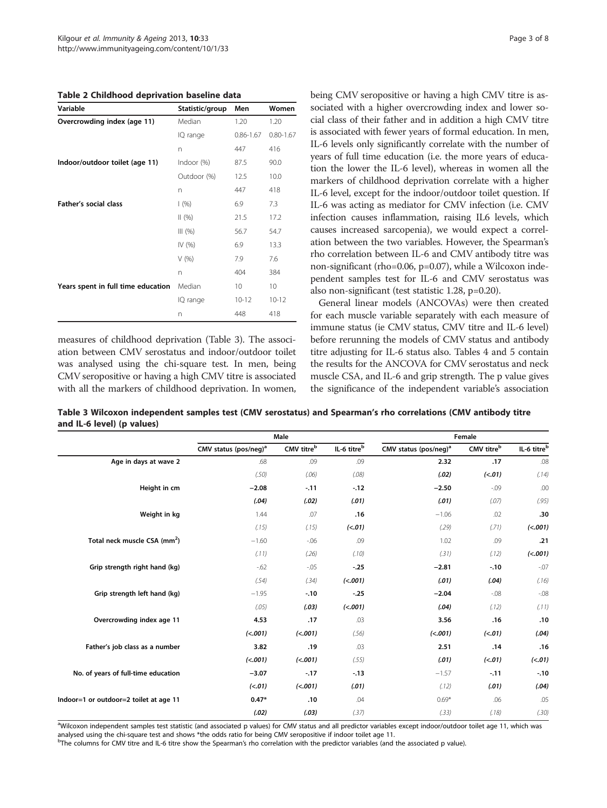<span id="page-3-0"></span>Table 2 Childhood deprivation baseline data

| Variable                           | Statistic/group | Men           | Women         |
|------------------------------------|-----------------|---------------|---------------|
| Overcrowding index (age 11)        | Median          | 1.20          | 1.20          |
|                                    | IQ range        | $0.86 - 1.67$ | $0.80 - 1.67$ |
|                                    | n               | 447           | 416           |
| Indoor/outdoor toilet (age 11)     | Indoor (%)      | 87.5          | 90.0          |
|                                    | Outdoor (%)     | 12.5          | 10.0          |
|                                    | n               | 447           | 418           |
| Father's social class              | (%)             | 6.9           | 7.3           |
|                                    | (96)            | 21.5          | 17.2          |
|                                    | III (%)         | 56.7          | 54.7          |
|                                    | IV (%)          | 6.9           | 13.3          |
|                                    | V(96)           | 7.9           | 7.6           |
|                                    | n               | 404           | 384           |
| Years spent in full time education | Median          | 10            | 10            |
|                                    | IQ range        | $10 - 12$     | $10 - 12$     |
|                                    | n               | 448           | 418           |

measures of childhood deprivation (Table 3). The association between CMV serostatus and indoor/outdoor toilet was analysed using the chi-square test. In men, being CMV seropositive or having a high CMV titre is associated with all the markers of childhood deprivation. In women, being CMV seropositive or having a high CMV titre is associated with a higher overcrowding index and lower social class of their father and in addition a high CMV titre is associated with fewer years of formal education. In men, IL-6 levels only significantly correlate with the number of years of full time education (i.e. the more years of education the lower the IL-6 level), whereas in women all the markers of childhood deprivation correlate with a higher IL-6 level, except for the indoor/outdoor toilet question. If IL-6 was acting as mediator for CMV infection (i.e. CMV infection causes inflammation, raising IL6 levels, which causes increased sarcopenia), we would expect a correlation between the two variables. However, the Spearman's rho correlation between IL-6 and CMV antibody titre was non-significant (rho=0.06, p=0.07), while a Wilcoxon independent samples test for IL-6 and CMV serostatus was also non-significant (test statistic 1.28, p=0.20).

General linear models (ANCOVAs) were then created for each muscle variable separately with each measure of immune status (ie CMV status, CMV titre and IL-6 level) before rerunning the models of CMV status and antibody titre adjusting for IL-6 status also. Tables [4](#page-4-0) and [5](#page-4-0) contain the results for the ANCOVA for CMV serostatus and neck muscle CSA, and IL-6 and grip strength. The p value gives the significance of the independent variable's association

Table 3 Wilcoxon independent samples test (CMV serostatus) and Spearman's rho correlations (CMV antibody titre and IL-6 level) (p values)

|                                          | Male                              |            |             | Female                            |            |             |  |
|------------------------------------------|-----------------------------------|------------|-------------|-----------------------------------|------------|-------------|--|
|                                          | CMV status (pos/neg) <sup>a</sup> | CMV titreb | IL-6 titreb | CMV status (pos/neg) <sup>a</sup> | CMV titreb | IL-6 titreb |  |
| Age in days at wave 2                    | .68                               | .09        | .09         | 2.32                              | .17        | .08         |  |
|                                          | (.50)                             | (.06)      | (.08)       | (.02)                             | (<.01)     | (.14)       |  |
| Height in cm                             | $-2.08$                           | $-11$      | $-12$       | $-2.50$                           | $-0.09$    | .00         |  |
|                                          | (.04)                             | (.02)      | (.01)       | (.01)                             | (.07)      | (.95)       |  |
| Weight in kg                             | 1.44                              | .07        | .16         | $-1.06$                           | .02        | .30         |  |
|                                          | (.15)                             | (.15)      | (<.01)      | (.29)                             | (71)       | (<.001)     |  |
| Total neck muscle CSA (mm <sup>2</sup> ) | $-1.60$                           | $-06$      | .09         | 1.02                              | .09        | .21         |  |
|                                          | (.11)                             | (.26)      | (.10)       | (.31)                             | (.12)      | (<.001)     |  |
| Grip strength right hand (kg)            | $-62$                             | $-0.05$    | $-.25$      | $-2.81$                           | $-.10$     | $-07$       |  |
|                                          | (.54)                             | (.34)      | (<.001)     | (.01)                             | (.04)      | (.16)       |  |
| Grip strength left hand (kg)             | $-1.95$                           | $-.10$     | $-.25$      | $-2.04$                           | $-08$      | $-08$       |  |
|                                          | (.05)                             | (.03)      | (<.001)     | (.04)                             | (.12)      | (.11)       |  |
| Overcrowding index age 11                | 4.53                              | .17        | .03         | 3.56                              | .16        | .10         |  |
|                                          | (<.001)                           | (<.001)    | (.56)       | (<.001)                           | (<.01)     | (.04)       |  |
| Father's job class as a number           | 3.82                              | .19        | .03         | 2.51                              | .14        | .16         |  |
|                                          | (<.001)                           | (<.001)    | (.55)       | (.01)                             | (<.01)     | (<.01)      |  |
| No. of years of full-time education      | $-3.07$                           | $-.17$     | $-.13$      | $-1.57$                           | $-.11$     | $-.10$      |  |
|                                          | (<.01)                            | (<.001)    | (.01)       | (.12)                             | (.01)      | (.04)       |  |
| Indoor=1 or outdoor=2 toilet at age 11   | $0.47*$                           | .10        | .04         | $0.69*$                           | .06        | .05         |  |
|                                          | (.02)                             | (.03)      | (.37)       | (.33)                             | (.18)      | (.30)       |  |

aWilcoxon independent samples test statistic (and associated p values) for CMV status and all predictor variables except indoor/outdoor toilet age 11, which was analysed using the chi-square test and shows \*the odds ratio for being CMV seropositive if indoor toilet age 11.

<sup>b</sup>The columns for CMV titre and IL-6 titre show the Spearman's rho correlation with the predictor variables (and the associated p value).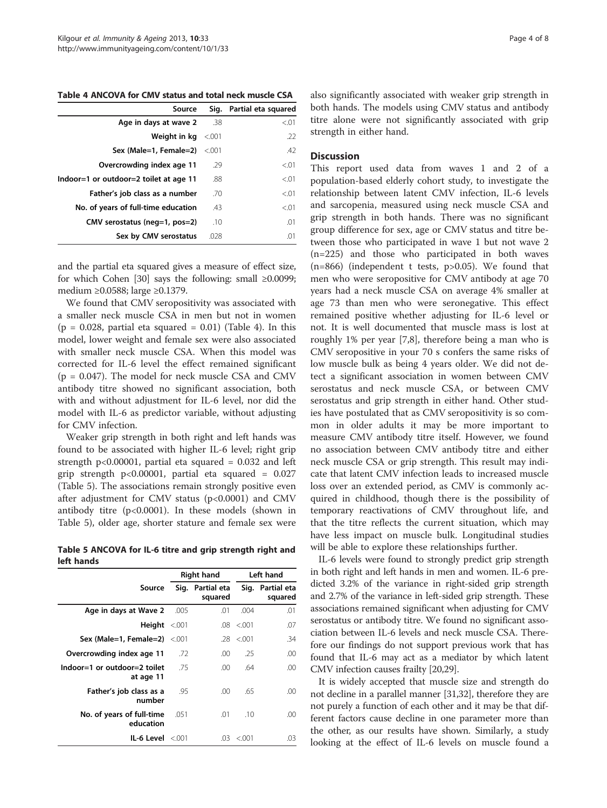<span id="page-4-0"></span>Table 4 ANCOVA for CMV status and total neck muscle CSA

| Source                                 |         | Sig. Partial eta squared |
|----------------------------------------|---------|--------------------------|
| Age in days at wave 2                  | .38     | < 0.01                   |
| Weight in kg                           | < 0.001 | .22                      |
| Sex (Male=1, Female=2)                 | $-.001$ | .42                      |
| Overcrowding index age 11              | .29     | < 0.01                   |
| Indoor=1 or outdoor=2 toilet at age 11 | .88     | < 0.01                   |
| Father's job class as a number         | .70     | < 0.01                   |
| No. of years of full-time education    | .43     | < 0.01                   |
| CMV serostatus (neg=1, pos=2)          | .10     | .01                      |
| Sex by CMV serostatus                  | .028    | .01                      |

and the partial eta squared gives a measure of effect size, for which Cohen [\[30](#page-8-0)] says the following: small  $\geq 0.0099$ ; medium ≥0.0588; large ≥0.1379.

We found that CMV seropositivity was associated with a smaller neck muscle CSA in men but not in women  $(p = 0.028,$  partial eta squared = 0.01) (Table 4). In this model, lower weight and female sex were also associated with smaller neck muscle CSA. When this model was corrected for IL-6 level the effect remained significant  $(p = 0.047)$ . The model for neck muscle CSA and CMV antibody titre showed no significant association, both with and without adjustment for IL-6 level, nor did the model with IL-6 as predictor variable, without adjusting for CMV infection.

Weaker grip strength in both right and left hands was found to be associated with higher IL-6 level; right grip strength  $p<0.00001$ , partial eta squared = 0.032 and left grip strength p<0.00001, partial eta squared = 0.027 (Table 5). The associations remain strongly positive even after adjustment for CMV status (p<0.0001) and CMV antibody titre (p<0.0001). In these models (shown in Table 5), older age, shorter stature and female sex were

Table 5 ANCOVA for IL-6 titre and grip strength right and left hands

|                                           | <b>Right hand</b> |                             |                | Left hand                   |  |
|-------------------------------------------|-------------------|-----------------------------|----------------|-----------------------------|--|
| Source                                    |                   | Sig. Partial eta<br>squared |                | Sig. Partial eta<br>squared |  |
| Age in days at Wave 2                     | .005              | .01                         | .004           | .01                         |  |
| Height $< 001$                            |                   | .08                         | &0.01          | .07                         |  |
| Sex (Male=1, Female=2) <.001              |                   |                             | $.28 \le 0.01$ | .34                         |  |
| Overcrowding index age 11                 | .72               | .00.                        | .25            | .00                         |  |
| Indoor=1 or outdoor=2 toilet<br>at age 11 | .75               | .00.                        | .64            | .00                         |  |
| Father's job class as a<br>number         | .95               | .00                         | .65            | .00                         |  |
| No. of years of full-time<br>education    | .051              | .01                         | .10            | .00                         |  |
| $IL-6$ Level $\leq 0.001$                 |                   | .03                         | < 0.01         | .03                         |  |

also significantly associated with weaker grip strength in both hands. The models using CMV status and antibody titre alone were not significantly associated with grip strength in either hand.

#### **Discussion**

This report used data from waves 1 and 2 of a population-based elderly cohort study, to investigate the relationship between latent CMV infection, IL-6 levels and sarcopenia, measured using neck muscle CSA and grip strength in both hands. There was no significant group difference for sex, age or CMV status and titre between those who participated in wave 1 but not wave 2 (n=225) and those who participated in both waves  $(n=866)$  (independent t tests,  $p>0.05$ ). We found that men who were seropositive for CMV antibody at age 70 years had a neck muscle CSA on average 4% smaller at age 73 than men who were seronegative. This effect remained positive whether adjusting for IL-6 level or not. It is well documented that muscle mass is lost at roughly 1% per year [[7,8\]](#page-7-0), therefore being a man who is CMV seropositive in your 70 s confers the same risks of low muscle bulk as being 4 years older. We did not detect a significant association in women between CMV serostatus and neck muscle CSA, or between CMV serostatus and grip strength in either hand. Other studies have postulated that as CMV seropositivity is so common in older adults it may be more important to measure CMV antibody titre itself. However, we found no association between CMV antibody titre and either neck muscle CSA or grip strength. This result may indicate that latent CMV infection leads to increased muscle loss over an extended period, as CMV is commonly acquired in childhood, though there is the possibility of temporary reactivations of CMV throughout life, and that the titre reflects the current situation, which may have less impact on muscle bulk. Longitudinal studies will be able to explore these relationships further.

IL-6 levels were found to strongly predict grip strength in both right and left hands in men and women. IL-6 predicted 3.2% of the variance in right-sided grip strength and 2.7% of the variance in left-sided grip strength. These associations remained significant when adjusting for CMV serostatus or antibody titre. We found no significant association between IL-6 levels and neck muscle CSA. Therefore our findings do not support previous work that has found that IL-6 may act as a mediator by which latent CMV infection causes frailty [\[20,](#page-7-0)[29](#page-8-0)].

It is widely accepted that muscle size and strength do not decline in a parallel manner [\[31,32\]](#page-8-0), therefore they are not purely a function of each other and it may be that different factors cause decline in one parameter more than the other, as our results have shown. Similarly, a study looking at the effect of IL-6 levels on muscle found a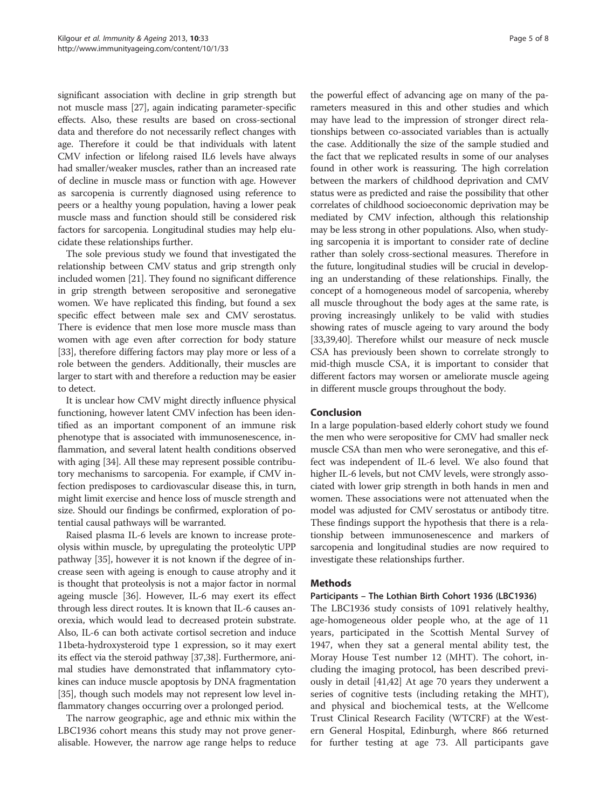significant association with decline in grip strength but not muscle mass [[27](#page-8-0)], again indicating parameter-specific effects. Also, these results are based on cross-sectional data and therefore do not necessarily reflect changes with age. Therefore it could be that individuals with latent CMV infection or lifelong raised IL6 levels have always had smaller/weaker muscles, rather than an increased rate of decline in muscle mass or function with age. However as sarcopenia is currently diagnosed using reference to peers or a healthy young population, having a lower peak muscle mass and function should still be considered risk factors for sarcopenia. Longitudinal studies may help elucidate these relationships further.

The sole previous study we found that investigated the relationship between CMV status and grip strength only included women [[21](#page-7-0)]. They found no significant difference in grip strength between seropositive and seronegative women. We have replicated this finding, but found a sex specific effect between male sex and CMV serostatus. There is evidence that men lose more muscle mass than women with age even after correction for body stature [[33](#page-8-0)], therefore differing factors may play more or less of a role between the genders. Additionally, their muscles are larger to start with and therefore a reduction may be easier to detect.

It is unclear how CMV might directly influence physical functioning, however latent CMV infection has been identified as an important component of an immune risk phenotype that is associated with immunosenescence, inflammation, and several latent health conditions observed with aging [\[34\]](#page-8-0). All these may represent possible contributory mechanisms to sarcopenia. For example, if CMV infection predisposes to cardiovascular disease this, in turn, might limit exercise and hence loss of muscle strength and size. Should our findings be confirmed, exploration of potential causal pathways will be warranted.

Raised plasma IL-6 levels are known to increase proteolysis within muscle, by upregulating the proteolytic UPP pathway [[35\]](#page-8-0), however it is not known if the degree of increase seen with ageing is enough to cause atrophy and it is thought that proteolysis is not a major factor in normal ageing muscle [[36](#page-8-0)]. However, IL-6 may exert its effect through less direct routes. It is known that IL-6 causes anorexia, which would lead to decreased protein substrate. Also, IL-6 can both activate cortisol secretion and induce 11beta-hydroxysteroid type 1 expression, so it may exert its effect via the steroid pathway [\[37,38\]](#page-8-0). Furthermore, animal studies have demonstrated that inflammatory cytokines can induce muscle apoptosis by DNA fragmentation [[35](#page-8-0)], though such models may not represent low level inflammatory changes occurring over a prolonged period.

The narrow geographic, age and ethnic mix within the LBC1936 cohort means this study may not prove generalisable. However, the narrow age range helps to reduce

the powerful effect of advancing age on many of the parameters measured in this and other studies and which may have lead to the impression of stronger direct relationships between co-associated variables than is actually the case. Additionally the size of the sample studied and the fact that we replicated results in some of our analyses found in other work is reassuring. The high correlation between the markers of childhood deprivation and CMV status were as predicted and raise the possibility that other correlates of childhood socioeconomic deprivation may be mediated by CMV infection, although this relationship may be less strong in other populations. Also, when studying sarcopenia it is important to consider rate of decline rather than solely cross-sectional measures. Therefore in the future, longitudinal studies will be crucial in developing an understanding of these relationships. Finally, the concept of a homogeneous model of sarcopenia, whereby all muscle throughout the body ages at the same rate, is proving increasingly unlikely to be valid with studies showing rates of muscle ageing to vary around the body [[33,39,40\]](#page-8-0). Therefore whilst our measure of neck muscle CSA has previously been shown to correlate strongly to mid-thigh muscle CSA, it is important to consider that different factors may worsen or ameliorate muscle ageing in different muscle groups throughout the body.

## Conclusion

In a large population-based elderly cohort study we found the men who were seropositive for CMV had smaller neck muscle CSA than men who were seronegative, and this effect was independent of IL-6 level. We also found that higher IL-6 levels, but not CMV levels, were strongly associated with lower grip strength in both hands in men and women. These associations were not attenuated when the model was adjusted for CMV serostatus or antibody titre. These findings support the hypothesis that there is a relationship between immunosenescence and markers of sarcopenia and longitudinal studies are now required to investigate these relationships further.

#### Methods

#### Participants – The Lothian Birth Cohort 1936 (LBC1936)

The LBC1936 study consists of 1091 relatively healthy, age-homogeneous older people who, at the age of 11 years, participated in the Scottish Mental Survey of 1947, when they sat a general mental ability test, the Moray House Test number 12 (MHT). The cohort, including the imaging protocol, has been described previously in detail [[41,42\]](#page-8-0) At age 70 years they underwent a series of cognitive tests (including retaking the MHT), and physical and biochemical tests, at the Wellcome Trust Clinical Research Facility (WTCRF) at the Western General Hospital, Edinburgh, where 866 returned for further testing at age 73. All participants gave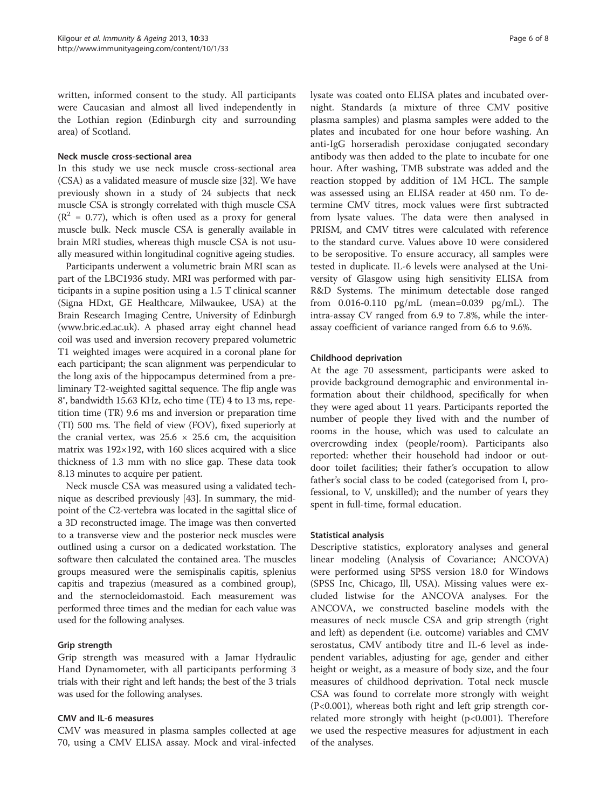written, informed consent to the study. All participants were Caucasian and almost all lived independently in the Lothian region (Edinburgh city and surrounding area) of Scotland.

#### Neck muscle cross-sectional area

In this study we use neck muscle cross-sectional area (CSA) as a validated measure of muscle size [\[32\]](#page-8-0). We have previously shown in a study of 24 subjects that neck muscle CSA is strongly correlated with thigh muscle CSA  $(R<sup>2</sup> = 0.77)$ , which is often used as a proxy for general muscle bulk. Neck muscle CSA is generally available in brain MRI studies, whereas thigh muscle CSA is not usually measured within longitudinal cognitive ageing studies.

Participants underwent a volumetric brain MRI scan as part of the LBC1936 study. MRI was performed with participants in a supine position using a 1.5 T clinical scanner (Signa HDxt, GE Healthcare, Milwaukee, USA) at the Brain Research Imaging Centre, University of Edinburgh ([www.bric.ed.ac.uk\)](http://www.bric.ed.ac.uk). A phased array eight channel head coil was used and inversion recovery prepared volumetric T1 weighted images were acquired in a coronal plane for each participant; the scan alignment was perpendicular to the long axis of the hippocampus determined from a preliminary T2-weighted sagittal sequence. The flip angle was 8°, bandwidth 15.63 KHz, echo time (TE) 4 to 13 ms, repetition time (TR) 9.6 ms and inversion or preparation time (TI) 500 ms. The field of view (FOV), fixed superiorly at the cranial vertex, was  $25.6 \times 25.6$  cm, the acquisition matrix was  $192\times192$ , with 160 slices acquired with a slice thickness of 1.3 mm with no slice gap. These data took 8.13 minutes to acquire per patient.

Neck muscle CSA was measured using a validated technique as described previously [\[43](#page-8-0)]. In summary, the midpoint of the C2-vertebra was located in the sagittal slice of a 3D reconstructed image. The image was then converted to a transverse view and the posterior neck muscles were outlined using a cursor on a dedicated workstation. The software then calculated the contained area. The muscles groups measured were the semispinalis capitis, splenius capitis and trapezius (measured as a combined group), and the sternocleidomastoid. Each measurement was performed three times and the median for each value was used for the following analyses.

## Grip strength

Grip strength was measured with a Jamar Hydraulic Hand Dynamometer, with all participants performing 3 trials with their right and left hands; the best of the 3 trials was used for the following analyses.

#### CMV and IL-6 measures

CMV was measured in plasma samples collected at age 70, using a CMV ELISA assay. Mock and viral-infected lysate was coated onto ELISA plates and incubated overnight. Standards (a mixture of three CMV positive plasma samples) and plasma samples were added to the plates and incubated for one hour before washing. An anti-IgG horseradish peroxidase conjugated secondary antibody was then added to the plate to incubate for one hour. After washing, TMB substrate was added and the reaction stopped by addition of 1M HCL. The sample was assessed using an ELISA reader at 450 nm. To determine CMV titres, mock values were first subtracted from lysate values. The data were then analysed in PRISM, and CMV titres were calculated with reference to the standard curve. Values above 10 were considered to be seropositive. To ensure accuracy, all samples were tested in duplicate. IL-6 levels were analysed at the University of Glasgow using high sensitivity ELISA from R&D Systems. The minimum detectable dose ranged from 0.016-0.110 pg/mL (mean=0.039 pg/mL). The intra-assay CV ranged from 6.9 to 7.8%, while the interassay coefficient of variance ranged from 6.6 to 9.6%.

## Childhood deprivation

At the age 70 assessment, participants were asked to provide background demographic and environmental information about their childhood, specifically for when they were aged about 11 years. Participants reported the number of people they lived with and the number of rooms in the house, which was used to calculate an overcrowding index (people/room). Participants also reported: whether their household had indoor or outdoor toilet facilities; their father's occupation to allow father's social class to be coded (categorised from I, professional, to V, unskilled); and the number of years they spent in full-time, formal education.

#### Statistical analysis

Descriptive statistics, exploratory analyses and general linear modeling (Analysis of Covariance; ANCOVA) were performed using SPSS version 18.0 for Windows (SPSS Inc, Chicago, Ill, USA). Missing values were excluded listwise for the ANCOVA analyses. For the ANCOVA, we constructed baseline models with the measures of neck muscle CSA and grip strength (right and left) as dependent (i.e. outcome) variables and CMV serostatus, CMV antibody titre and IL-6 level as independent variables, adjusting for age, gender and either height or weight, as a measure of body size, and the four measures of childhood deprivation. Total neck muscle CSA was found to correlate more strongly with weight (P<0.001), whereas both right and left grip strength correlated more strongly with height  $(p<0.001)$ . Therefore we used the respective measures for adjustment in each of the analyses.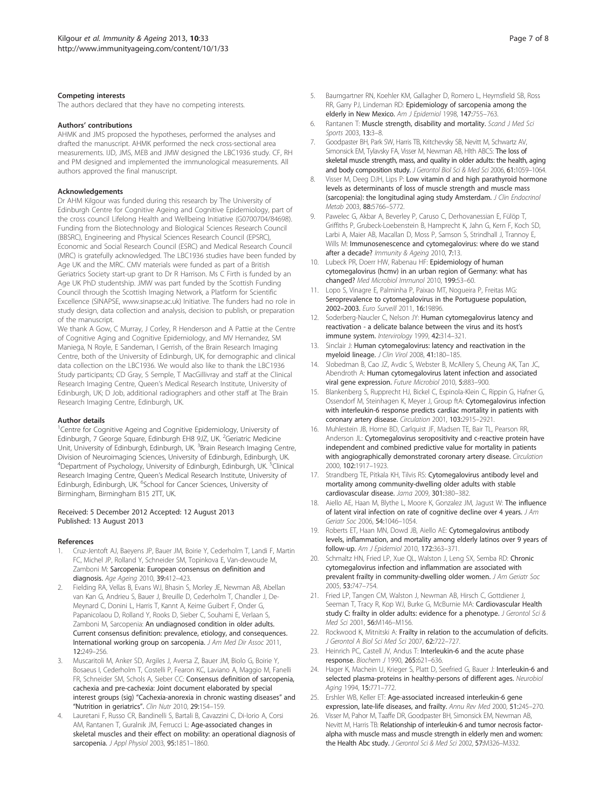#### <span id="page-7-0"></span>Competing interests

The authors declared that they have no competing interests.

#### Authors' contributions

AHMK and JMS proposed the hypotheses, performed the analyses and drafted the manuscript. AHMK performed the neck cross-sectional area measurements. IJD, JMS, MEB and JMW designed the LBC1936 study. CF, RH and PM designed and implemented the immunological measurements. All authors approved the final manuscript.

#### Acknowledgements

Dr AHM Kilgour was funded during this research by The University of Edinburgh Centre for Cognitive Ageing and Cognitive Epidemiology, part of the cross council Lifelong Health and Wellbeing Initiative (G0700704/84698). Funding from the Biotechnology and Biological Sciences Research Council (BBSRC), Engineering and Physical Sciences Research Council (EPSRC), Economic and Social Research Council (ESRC) and Medical Research Council (MRC) is gratefully acknowledged. The LBC1936 studies have been funded by Age UK and the MRC. CMV materials were funded as part of a British Geriatrics Society start-up grant to Dr R Harrison. Ms C Firth is funded by an Age UK PhD studentship. JMW was part funded by the Scottish Funding Council through the Scottish Imaging Network, a Platform for Scientific Excellence (SINAPSE, [www.sinapse.ac.uk\)](http://www.sinapse.ac.uk) Initiative. The funders had no role in study design, data collection and analysis, decision to publish, or preparation of the manuscript.

We thank A Gow, C Murray, J Corley, R Henderson and A Pattie at the Centre of Cognitive Aging and Cognitive Epidemiology, and MV Hernandez, SM Maniega, N Royle, E Sandeman, I Gerrish, of the Brain Research Imaging Centre, both of the University of Edinburgh, UK, for demographic and clinical data collection on the LBC1936. We would also like to thank the LBC1936 Study participants; CD Gray, S Semple, T MacGillivray and staff at the Clinical Research Imaging Centre, Queen's Medical Research Institute, University of Edinburgh, UK; D Job, additional radiographers and other staff at The Brain Research Imaging Centre, Edinburgh, UK.

#### Author details

<sup>1</sup>Centre for Cognitive Ageing and Cognitive Epidemiology, University of Edinburgh, 7 George Square, Edinburgh EH8 9JZ, UK. <sup>2</sup>Geriatric Medicine Unit, University of Edinburgh, Edinburgh, UK. <sup>3</sup>Brain Research Imaging Centre, Division of Neuroimaging Sciences, University of Edinburgh, Edinburgh, UK. <sup>4</sup>Department of Psychology, University of Edinburgh, Edinburgh, UK. <sup>5</sup>Clinical Research Imaging Centre, Queen's Medical Research Institute, University of Edinburgh, Edinburgh, UK. <sup>6</sup>School for Cancer Sciences, University of Birmingham, Birmingham B15 2TT, UK.

#### Received: 5 December 2012 Accepted: 12 August 2013 Published: 13 August 2013

#### References

- 1. Cruz-Jentoft AJ, Baeyens JP, Bauer JM, Boirie Y, Cederholm T, Landi F, Martin FC, Michel JP, Rolland Y, Schneider SM, Topinkova E, Van-dewoude M, Zamboni M: Sarcopenia: European consensus on definition and diagnosis. Age Ageing 2010, 39:412–423.
- 2. Fielding RA, Vellas B, Evans WJ, Bhasin S, Morley JE, Newman AB, Abellan van Kan G, Andrieu S, Bauer J, Breuille D, Cederholm T, Chandler J, De-Meynard C, Donini L, Harris T, Kannt A, Keime Guibert F, Onder G, Papanicolaou D, Rolland Y, Rooks D, Sieber C, Souhami E, Verlaan S, Zamboni M, Sarcopenia: An undiagnosed condition in older adults. Current consensus definition: prevalence, etiology, and consequences. International working group on sarcopenia. J Am Med Dir Assoc 2011, 12:249–256.
- 3. Muscaritoli M, Anker SD, Argiles J, Aversa Z, Bauer JM, Biolo G, Boirie Y, Bosaeus I, Cederholm T, Costelli P, Fearon KC, Laviano A, Maggio M, Fanelli FR, Schneider SM, Schols A, Sieber CC: Consensus definition of sarcopenia, cachexia and pre-cachexia: Joint document elaborated by special interest groups (sig) "Cachexia-anorexia in chronic wasting diseases" and "Nutrition in geriatrics". Clin Nutr 2010, 29:154–159.
- 4. Lauretani F, Russo CR, Bandinelli S, Bartali B, Cavazzini C, Di-Iorio A, Corsi AM, Rantanen T, Guralnik JM, Ferrucci L: Age-associated changes in skeletal muscles and their effect on mobility: an operational diagnosis of sarcopenia. J Appl Physiol 2003, 95:1851–1860.
- 5. Baumgartner RN, Koehler KM, Gallagher D, Romero L, Heymsfield SB, Ross RR, Garry PJ, Lindeman RD: Epidemiology of sarcopenia among the elderly in New Mexico. Am J Epidemiol 1998, 147:755-763.
- 6. Rantanen T: Muscle strength, disability and mortality. Scand J Med Sci Sports 2003, 13:3–8.
- 7. Goodpaster BH, Park SW, Harris TB, Kritchevsky SB, Nevitt M, Schwartz AV, Simonsick EM, Tylavsky FA, Visser M, Newman AB, Hlth ABCS: The loss of skeletal muscle strength, mass, and quality in older adults: the health, aging and body composition study. J Gerontol Biol Sci & Med Sci 2006, 61:1059–1064.
- 8. Visser M, Deeg DJH, Lips P: Low vitamin d and high parathyroid hormone levels as determinants of loss of muscle strength and muscle mass (sarcopenia): the longitudinal aging study Amsterdam. J Clin Endocrinol Metab 2003, 88:5766–5772.
- 9. Pawelec G, Akbar A, Beverley P, Caruso C, Derhovanessian E, Fülöp T, Griffiths P, Grubeck-Loebenstein B, Hamprecht K, Jahn G, Kern F, Koch SD, Larbi A, Maier AB, Macallan D, Moss P, Samson S, Strindhall J, Trannoy E, Wills M: Immunosenescence and cytomegalovirus: where do we stand after a decade? Immunity & Ageing 2010, 7:13.
- 10. Lubeck PR, Doerr HW, Rabenau HF: Epidemiology of human cytomegalovirus (hcmv) in an urban region of Germany: what has changed? Med Microbiol Immunol 2010, 199:53–60.
- 11. Lopo S, Vinagre E, Palminha P, Paixao MT, Nogueira P, Freitas MG: Seroprevalence to cytomegalovirus in the Portuguese population, 2002–2003. Euro Surveill 2011, 16:19896.
- 12. Soderberg-Naucler C, Nelson JY: Human cytomegalovirus latency and reactivation - a delicate balance between the virus and its host's immune system. Intervirology 1999, 42:314–321.
- 13. Sinclair J: Human cytomegalovirus: latency and reactivation in the myeloid lineage. J Clin Virol 2008, 41:180–185.
- 14. Slobedman B, Cao JZ, Avdic S, Webster B, McAllery S, Cheung AK, Tan JC, Abendroth A: Human cytomegalovirus latent infection and associated viral gene expression. Future Microbiol 2010, 5:883–900.
- 15. Blankenberg S, Rupprecht HJ, Bickel C, Espinola-Klein C, Rippin G, Hafner G, Ossendorf M, Steinhagen K, Meyer J, Group ftA: Cytomegalovirus infection with interleukin-6 response predicts cardiac mortality in patients with coronary artery disease. Circulation 2001, 103:2915–2921.
- 16. Muhlestein JB, Horne BD, Carlquist JF, Madsen TE, Bair TL, Pearson RR, Anderson JL: Cytomegalovirus seropositivity and c-reactive protein have independent and combined predictive value for mortality in patients with angiographically demonstrated coronary artery disease. Circulation 2000, 102:1917–1923.
- 17. Strandberg TE, Pitkala KH, Tilvis RS: Cytomegalovirus antibody level and mortality among community-dwelling older adults with stable cardiovascular disease. Jama 2009, 301:380–382.
- 18. Aiello AE, Haan M, Blythe L, Moore K, Gonzalez JM, Jagust W: The influence of latent viral infection on rate of cognitive decline over 4 years. J Am Geriatr Soc 2006, 54:1046–1054.
- 19. Roberts ET, Haan MN, Dowd JB, Aiello AE: Cytomegalovirus antibody levels, inflammation, and mortality among elderly latinos over 9 years of follow-up. Am J Epidemiol 2010, 172:363–371.
- 20. Schmaltz HN, Fried LP, Xue QL, Walston J, Leng SX, Semba RD: Chronic cytomegalovirus infection and inflammation are associated with prevalent frailty in community-dwelling older women. J Am Geriatr Soc 2005, 53:747–754.
- 21. Fried LP, Tangen CM, Walston J, Newman AB, Hirsch C, Gottdiener J, Seeman T, Tracy R, Kop WJ, Burke G, McBurnie MA: Cardiovascular Health study C: frailty in older adults: evidence for a phenotype. J Gerontol Sci & Med Sci 2001, 56:M146–M156.
- 22. Rockwood K, Mitnitski A: Frailty in relation to the accumulation of deficits. J Gerontol A Biol Sci Med Sci 2007, 62:722–727.
- 23. Heinrich PC, Castell JV, Andus T: Interleukin-6 and the acute phase response. Biochem J 1990, 265:621–636.
- 24. Hager K, Machein U, Krieger S, Platt D, Seefried G, Bauer J: Interleukin-6 and selected plasma-proteins in healthy-persons of different ages. Neurobiol Aging 1994, 15:771-772.
- 25. Ershler WB, Keller ET: Age-associated increased interleukin-6 gene expression, late-life diseases, and frailty. Annu Rev Med 2000, 51:245–270.
- 26. Visser M, Pahor M, Taaffe DR, Goodpaster BH, Simonsick EM, Newman AB, Nevitt M, Harris TB: Relationship of interleukin-6 and tumor necrosis factoralpha with muscle mass and muscle strength in elderly men and women: the Health Abc study. J Gerontol Sci & Med Sci 2002, 57:M326-M332.